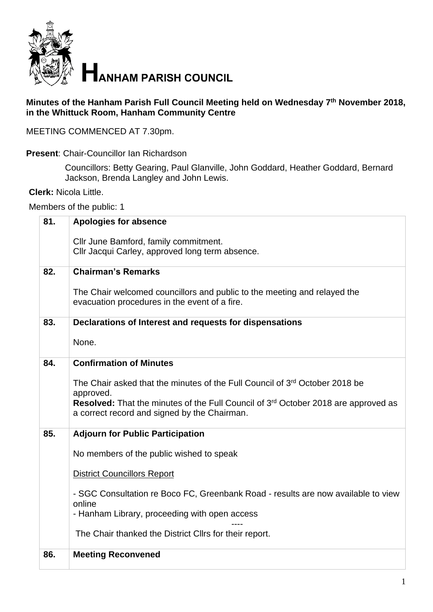

## **Minutes of the Hanham Parish Full Council Meeting held on Wednesday 7 th November 2018, in the Whittuck Room, Hanham Community Centre**

MEETING COMMENCED AT 7.30pm.

**Present**: Chair-Councillor Ian Richardson

Councillors: Betty Gearing, Paul Glanville, John Goddard, Heather Goddard, Bernard Jackson, Brenda Langley and John Lewis.

**Clerk:** Nicola Little.

Members of the public: 1

| 81. | <b>Apologies for absence</b>                                                                                                                          |
|-----|-------------------------------------------------------------------------------------------------------------------------------------------------------|
|     | Cllr June Bamford, family commitment.                                                                                                                 |
|     | Cllr Jacqui Carley, approved long term absence.                                                                                                       |
| 82. | <b>Chairman's Remarks</b>                                                                                                                             |
|     |                                                                                                                                                       |
|     | The Chair welcomed councillors and public to the meeting and relayed the                                                                              |
|     | evacuation procedures in the event of a fire.                                                                                                         |
| 83. | Declarations of Interest and requests for dispensations                                                                                               |
|     | None.                                                                                                                                                 |
|     |                                                                                                                                                       |
| 84. | <b>Confirmation of Minutes</b>                                                                                                                        |
|     | The Chair asked that the minutes of the Full Council of 3rd October 2018 be                                                                           |
|     | approved.                                                                                                                                             |
|     | <b>Resolved:</b> That the minutes of the Full Council of 3 <sup>rd</sup> October 2018 are approved as<br>a correct record and signed by the Chairman. |
|     |                                                                                                                                                       |
| 85. | <b>Adjourn for Public Participation</b>                                                                                                               |
|     | No members of the public wished to speak                                                                                                              |
|     | <b>District Councillors Report</b>                                                                                                                    |
|     |                                                                                                                                                       |
|     | - SGC Consultation re Boco FC, Greenbank Road - results are now available to view<br>online                                                           |
|     | - Hanham Library, proceeding with open access                                                                                                         |
|     |                                                                                                                                                       |
|     | The Chair thanked the District Cllrs for their report.                                                                                                |
| 86. | <b>Meeting Reconvened</b>                                                                                                                             |
|     |                                                                                                                                                       |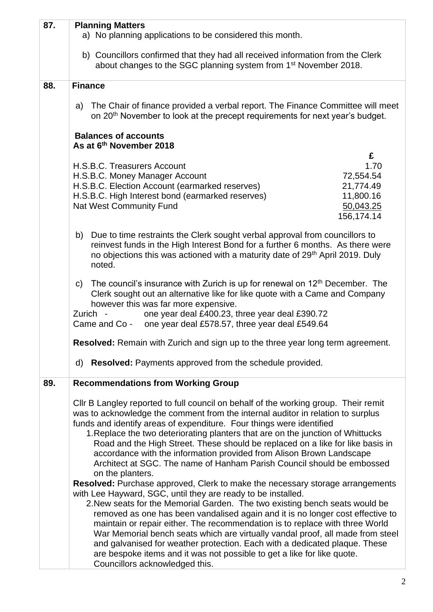| 87. | <b>Planning Matters</b><br>a) No planning applications to be considered this month.                                                                                                                                                                                                                                                                                                                                                                                                                                                                                   |
|-----|-----------------------------------------------------------------------------------------------------------------------------------------------------------------------------------------------------------------------------------------------------------------------------------------------------------------------------------------------------------------------------------------------------------------------------------------------------------------------------------------------------------------------------------------------------------------------|
|     | b) Councillors confirmed that they had all received information from the Clerk<br>about changes to the SGC planning system from 1 <sup>st</sup> November 2018.                                                                                                                                                                                                                                                                                                                                                                                                        |
| 88. | <b>Finance</b>                                                                                                                                                                                                                                                                                                                                                                                                                                                                                                                                                        |
|     | The Chair of finance provided a verbal report. The Finance Committee will meet<br>a)<br>on 20 <sup>th</sup> November to look at the precept requirements for next year's budget.                                                                                                                                                                                                                                                                                                                                                                                      |
|     | <b>Balances of accounts</b><br>As at 6 <sup>th</sup> November 2018                                                                                                                                                                                                                                                                                                                                                                                                                                                                                                    |
|     | £<br>1.70<br>H.S.B.C. Treasurers Account<br>H.S.B.C. Money Manager Account<br>72,554.54<br>H.S.B.C. Election Account (earmarked reserves)<br>21,774.49<br>H.S.B.C. High Interest bond (earmarked reserves)<br>11,800.16<br>Nat West Community Fund<br>50,043.25<br>156,174.14                                                                                                                                                                                                                                                                                         |
|     | Due to time restraints the Clerk sought verbal approval from councillors to<br>b)<br>reinvest funds in the High Interest Bond for a further 6 months. As there were<br>no objections this was actioned with a maturity date of 29 <sup>th</sup> April 2019. Duly<br>noted.                                                                                                                                                                                                                                                                                            |
|     | The council's insurance with Zurich is up for renewal on $12th$ December. The<br>$\mathsf{C}$<br>Clerk sought out an alternative like for like quote with a Came and Company<br>however this was far more expensive.<br>Zurich -<br>one year deal £400.23, three year deal £390.72<br>Came and Co - one year deal £578.57, three year deal £549.64                                                                                                                                                                                                                    |
|     | Resolved: Remain with Zurich and sign up to the three year long term agreement.                                                                                                                                                                                                                                                                                                                                                                                                                                                                                       |
|     | d) Resolved: Payments approved from the schedule provided.                                                                                                                                                                                                                                                                                                                                                                                                                                                                                                            |
| 89. | <b>Recommendations from Working Group</b>                                                                                                                                                                                                                                                                                                                                                                                                                                                                                                                             |
|     | Cllr B Langley reported to full council on behalf of the working group. Their remit<br>was to acknowledge the comment from the internal auditor in relation to surplus<br>funds and identify areas of expenditure. Four things were identified<br>1. Replace the two deteriorating planters that are on the junction of Whittucks<br>Road and the High Street. These should be replaced on a like for like basis in<br>accordance with the information provided from Alison Brown Landscape<br>Architect at SGC. The name of Hanham Parish Council should be embossed |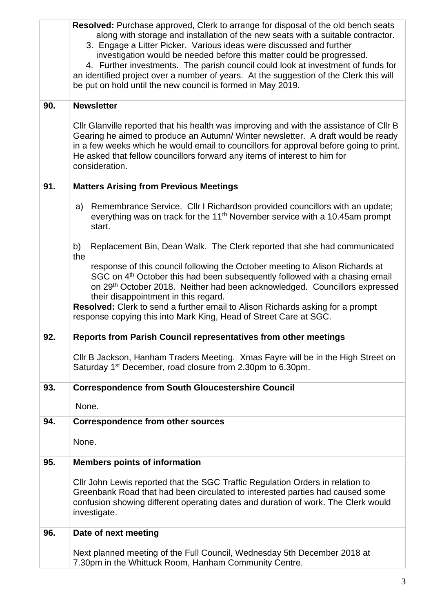|     | Resolved: Purchase approved, Clerk to arrange for disposal of the old bench seats<br>along with storage and installation of the new seats with a suitable contractor.<br>3. Engage a Litter Picker. Various ideas were discussed and further<br>investigation would be needed before this matter could be progressed.<br>4. Further investments. The parish council could look at investment of funds for<br>an identified project over a number of years. At the suggestion of the Clerk this will<br>be put on hold until the new council is formed in May 2019. |
|-----|--------------------------------------------------------------------------------------------------------------------------------------------------------------------------------------------------------------------------------------------------------------------------------------------------------------------------------------------------------------------------------------------------------------------------------------------------------------------------------------------------------------------------------------------------------------------|
| 90. | <b>Newsletter</b>                                                                                                                                                                                                                                                                                                                                                                                                                                                                                                                                                  |
|     | CIIr Glanville reported that his health was improving and with the assistance of CIIr B<br>Gearing he aimed to produce an Autumn/Winter newsletter. A draft would be ready<br>in a few weeks which he would email to councillors for approval before going to print.<br>He asked that fellow councillors forward any items of interest to him for<br>consideration.                                                                                                                                                                                                |
| 91. | <b>Matters Arising from Previous Meetings</b>                                                                                                                                                                                                                                                                                                                                                                                                                                                                                                                      |
|     | Remembrance Service. Cllr I Richardson provided councillors with an update;<br>a)<br>everything was on track for the 11 <sup>th</sup> November service with a 10.45am prompt<br>start.                                                                                                                                                                                                                                                                                                                                                                             |
|     | Replacement Bin, Dean Walk. The Clerk reported that she had communicated<br>b)<br>the                                                                                                                                                                                                                                                                                                                                                                                                                                                                              |
|     | response of this council following the October meeting to Alison Richards at<br>SGC on 4 <sup>th</sup> October this had been subsequently followed with a chasing email<br>on 29th October 2018. Neither had been acknowledged. Councillors expressed<br>their disappointment in this regard.<br>Resolved: Clerk to send a further email to Alison Richards asking for a prompt<br>response copying this into Mark King, Head of Street Care at SGC.                                                                                                               |
| 92. | Reports from Parish Council representatives from other meetings                                                                                                                                                                                                                                                                                                                                                                                                                                                                                                    |
|     | CIIr B Jackson, Hanham Traders Meeting. Xmas Fayre will be in the High Street on<br>Saturday 1 <sup>st</sup> December, road closure from 2.30pm to 6.30pm.                                                                                                                                                                                                                                                                                                                                                                                                         |
| 93. | <b>Correspondence from South Gloucestershire Council</b>                                                                                                                                                                                                                                                                                                                                                                                                                                                                                                           |
|     | None.                                                                                                                                                                                                                                                                                                                                                                                                                                                                                                                                                              |
| 94. | <b>Correspondence from other sources</b>                                                                                                                                                                                                                                                                                                                                                                                                                                                                                                                           |
|     | None.                                                                                                                                                                                                                                                                                                                                                                                                                                                                                                                                                              |
| 95. | <b>Members points of information</b>                                                                                                                                                                                                                                                                                                                                                                                                                                                                                                                               |
|     | CIIr John Lewis reported that the SGC Traffic Regulation Orders in relation to<br>Greenbank Road that had been circulated to interested parties had caused some<br>confusion showing different operating dates and duration of work. The Clerk would<br>investigate.                                                                                                                                                                                                                                                                                               |
| 96. | Date of next meeting                                                                                                                                                                                                                                                                                                                                                                                                                                                                                                                                               |
|     | Next planned meeting of the Full Council, Wednesday 5th December 2018 at<br>7.30pm in the Whittuck Room, Hanham Community Centre.                                                                                                                                                                                                                                                                                                                                                                                                                                  |